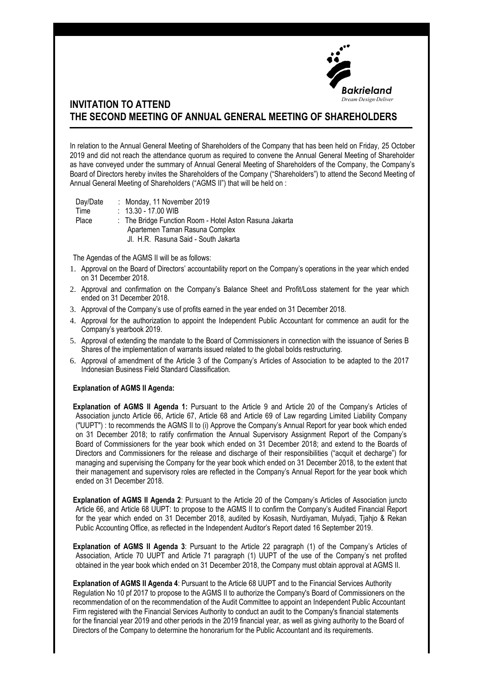

## **INVITATION TO ATTEND THE SECOND MEETING OF ANNUAL GENERAL MEETING OF SHAREHOLDERS**

In relation to the Annual General Meeting of Shareholders of the Company that has been held on Friday, 25 October 2019 and did not reach the attendance quorum as required to convene the Annual General Meeting of Shareholder as have conveyed under the summary of Annual General Meeting of Shareholders of the Company, the Company's Board of Directors hereby invites the Shareholders of the Company ("Shareholders") to attend the Second Meeting of Annual General Meeting of Shareholders ("AGMS II") that will be held on :

Day/Date : Monday, 11 November 2019

Time : 13.30 - 17.00 WIB

Place : The Bridge Function Room - Hotel Aston Rasuna Jakarta Apartemen Taman Rasuna Complex Jl. H.R. Rasuna Said - South Jakarta

The Agendas of the AGMS II will be as follows:

- 1. Approval on the Board of Directors' accountability report on the Company's operations in the year which ended on 31 December 2018.
- 2. Approval and confirmation on the Company's Balance Sheet and Profit/Loss statement for the year which ended on 31 December 2018.
- 3. Approval of the Company's use of profits earned in the year ended on 31 December 2018.
- 4. Approval for the authorization to appoint the Independent Public Accountant for commence an audit for the Company's yearbook 2019.
- 5. Approval of extending the mandate to the Board of Commissioners in connection with the issuance of Series B Shares of the implementation of warrants issued related to the global bolds restructuring.
- 6. Approval of amendment of the Article 3 of the Company's Articles of Association to be adapted to the 2017 Indonesian Business Field Standard Classification.

## **Explanation of AGMS II Agenda:**

**Explanation of AGMS II Agenda 1:** Pursuant to the Article 9 and Article 20 of the Company's Articles of Association juncto Article 66, Article 67, Article 68 and Article 69 of Law regarding Limited Liability Company ("UUPT") : to recommends the AGMS II to (i) Approve the Company's Annual Report for year book which ended on 31 December 2018; to ratify confirmation the Annual Supervisory Assignment Report of the Company's Board of Commissioners for the year book which ended on 31 December 2018; and extend to the Boards of Directors and Commissioners for the release and discharge of their responsibilities ("acquit et decharge") for managing and supervising the Company for the year book which ended on 31 December 2018, to the extent that their management and supervisory roles are reflected in the Company's Annual Report for the year book which ended on 31 December 2018.

**Explanation of AGMS II Agenda 2**: Pursuant to the Article 20 of the Company's Articles of Association juncto Article 66, and Article 68 UUPT: to propose to the AGMS II to confirm the Company's Audited Financial Report for the year which ended on 31 December 2018, audited by Kosasih, Nurdiyaman, Mulyadi, Tjahjo & Rekan Public Accounting Office, as reflected in the Independent Auditor's Report dated 16 September 2019.

**Explanation of AGMS II Agenda 3**: Pursuant to the Article 22 paragraph (1) of the Company's Articles of Association, Article 70 UUPT and Article 71 paragraph (1) UUPT of the use of the Company's net profited obtained in the year book which ended on 31 December 2018, the Company must obtain approval at AGMS II.

**Explanation of AGMS II Agenda 4**: Pursuant to the Article 68 UUPT and to the Financial Services Authority Regulation No 10 pf 2017 to propose to the AGMS II to authorize the Company's Board of Commissioners on the recommendation of on the recommendation of the Audit Committee to appoint an Independent Public Accountant Firm registered with the Financial Services Authority to conduct an audit to the Company's financial statements for the financial year 2019 and other periods in the 2019 financial year, as well as giving authority to the Board of Directors of the Company to determine the honorarium for the Public Accountant and its requirements.